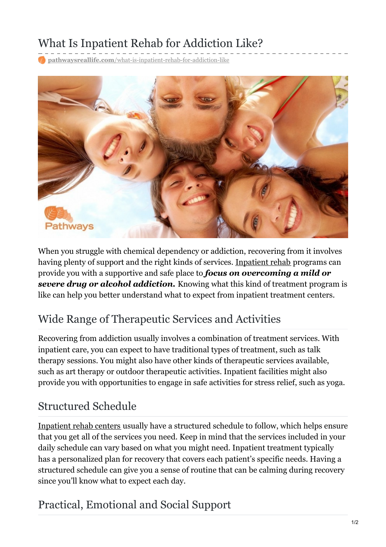# What Is Inpatient Rehab for Addiction Like?

**pathwaysreallife.com**[/what-is-inpatient-rehab-for-addiction-like](https://pathwaysreallife.com/what-is-inpatient-rehab-for-addiction-like/)



When you struggle with chemical dependency or addiction, recovering from it involves having plenty of support and the right kinds of services. [Inpatient](https://pathwaysreallife.com/inpatient-drug-and-alcohol-rehab) rehab programs can provide you with a supportive and safe place to *focus on overcoming a mild or severe drug or alcohol addiction.* Knowing what this kind of treatment program is like can help you better understand what to expect from inpatient treatment centers.

# Wide Range of Therapeutic Services and Activities

Recovering from addiction usually involves a combination of treatment services. With inpatient care, you can expect to have traditional types of treatment, such as talk therapy sessions. You might also have other kinds of therapeutic services available, such as art therapy or outdoor therapeutic activities. Inpatient facilities might also provide you with opportunities to engage in safe activities for stress relief, such as yoga.

# Structured Schedule

[Inpatient](https://pathwaysreallife.com/location/) rehab centers usually have a structured schedule to follow, which helps ensure that you get all of the services you need. Keep in mind that the services included in your daily schedule can vary based on what you might need. Inpatient treatment typically has a personalized plan for recovery that covers each patient's specific needs. Having a structured schedule can give you a sense of routine that can be calming during recovery since you'll know what to expect each day.

# Practical, Emotional and Social Support